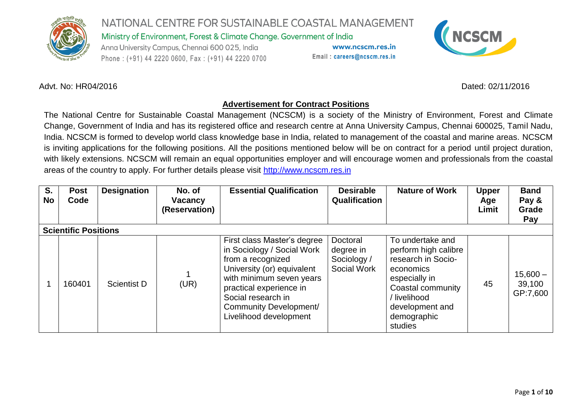

Ministry of Environment, Forest & Climate Change. Government of India

Anna University Campus, Chennai 600 025, India Phone: (+91) 44 2220 0600, Fax: (+91) 44 2220 0700

#### Advt. No: HR04/2016 Dated: 02/11/2016



#### **Advertisement for Contract Positions**

www.ncscm.res.in

Email: careers@ncscm.res.in

The National Centre for Sustainable Coastal Management (NCSCM) is a society of the Ministry of Environment, Forest and Climate Change, Government of India and has its registered office and research centre at Anna University Campus, Chennai 600025, Tamil Nadu, India. NCSCM is formed to develop world class knowledge base in India, related to management of the coastal and marine areas. NCSCM is inviting applications for the following positions. All the positions mentioned below will be on contract for a period until project duration, with likely extensions. NCSCM will remain an equal opportunities employer and will encourage women and professionals from the coastal areas of the country to apply. For further details please visit [http://www.ncscm.res.in](http://www.ncscm.res.in/)

| S.<br><b>No</b> | <b>Post</b><br>Code         | <b>Designation</b> | No. of<br><b>Vacancy</b><br>(Reservation) | <b>Essential Qualification</b>                                                                                                                                                                                                                | <b>Desirable</b><br>Qualification                   | <b>Nature of Work</b>                                                                                                                                                        | <b>Upper</b><br>Age<br>Limit | <b>Band</b><br>Pay &<br>Grade<br>Pay |
|-----------------|-----------------------------|--------------------|-------------------------------------------|-----------------------------------------------------------------------------------------------------------------------------------------------------------------------------------------------------------------------------------------------|-----------------------------------------------------|------------------------------------------------------------------------------------------------------------------------------------------------------------------------------|------------------------------|--------------------------------------|
|                 | <b>Scientific Positions</b> |                    |                                           |                                                                                                                                                                                                                                               |                                                     |                                                                                                                                                                              |                              |                                      |
|                 | 160401                      | <b>Scientist D</b> | (UR)                                      | First class Master's degree<br>in Sociology / Social Work<br>from a recognized<br>University (or) equivalent<br>with minimum seven years<br>practical experience in<br>Social research in<br>Community Development/<br>Livelihood development | Doctoral<br>degree in<br>Sociology /<br>Social Work | To undertake and<br>perform high calibre<br>research in Socio-<br>economics<br>especially in<br>Coastal community<br>livelihood<br>development and<br>demographic<br>studies | 45                           | $15,600 -$<br>39,100<br>GP:7,600     |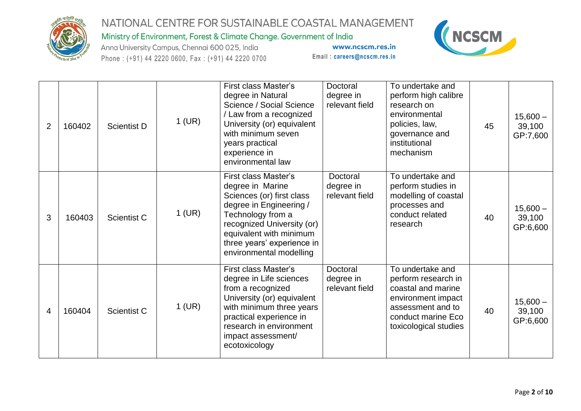

Ministry of Environment, Forest & Climate Change. Government of India

Anna University Campus, Chennai 600 025, India Phone: (+91) 44 2220 0600, Fax: (+91) 44 2220 0700



| $\overline{2}$ | 160402 | <b>Scientist D</b> | $1$ (UR) | First class Master's<br>degree in Natural<br>Science / Social Science<br>/ Law from a recognized<br>University (or) equivalent<br>with minimum seven<br>years practical<br>experience in<br>environmental law                           | Doctoral<br>degree in<br>relevant field | To undertake and<br>perform high calibre<br>research on<br>environmental<br>policies, law,<br>governance and<br>institutional<br>mechanism              | 45 | $15,600 -$<br>39,100<br>GP:7,600 |
|----------------|--------|--------------------|----------|-----------------------------------------------------------------------------------------------------------------------------------------------------------------------------------------------------------------------------------------|-----------------------------------------|---------------------------------------------------------------------------------------------------------------------------------------------------------|----|----------------------------------|
| 3              | 160403 | <b>Scientist C</b> | $1$ (UR) | First class Master's<br>degree in Marine<br>Sciences (or) first class<br>degree in Engineering /<br>Technology from a<br>recognized University (or)<br>equivalent with minimum<br>three years' experience in<br>environmental modelling | Doctoral<br>degree in<br>relevant field | To undertake and<br>perform studies in<br>modelling of coastal<br>processes and<br>conduct related<br>research                                          | 40 | $15,600 -$<br>39,100<br>GP:6,600 |
| 4              | 160404 | <b>Scientist C</b> | $1$ (UR) | First class Master's<br>degree in Life sciences<br>from a recognized<br>University (or) equivalent<br>with minimum three years<br>practical experience in<br>research in environment<br>impact assessment/<br>ecotoxicology             | Doctoral<br>degree in<br>relevant field | To undertake and<br>perform research in<br>coastal and marine<br>environment impact<br>assessment and to<br>conduct marine Eco<br>toxicological studies | 40 | $15,600 -$<br>39,100<br>GP:6,600 |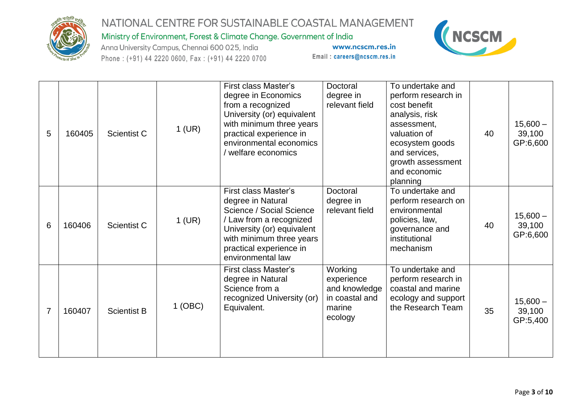

Ministry of Environment, Forest & Climate Change. Government of India

Anna University Campus, Chennai 600 025, India Phone: (+91) 44 2220 0600, Fax: (+91) 44 2220 0700



| 5              | 160405 | <b>Scientist C</b> | $1$ (UR)  | First class Master's<br>degree in Economics<br>from a recognized<br>University (or) equivalent<br>with minimum three years<br>practical experience in<br>environmental economics<br>welfare economics      | Doctoral<br>degree in<br>relevant field                                       | To undertake and<br>perform research in<br>cost benefit<br>analysis, risk<br>assessment,<br>valuation of<br>ecosystem goods<br>and services,<br>growth assessment<br>and economic<br>planning | 40 | $15,600 -$<br>39,100<br>GP:6,600 |
|----------------|--------|--------------------|-----------|------------------------------------------------------------------------------------------------------------------------------------------------------------------------------------------------------------|-------------------------------------------------------------------------------|-----------------------------------------------------------------------------------------------------------------------------------------------------------------------------------------------|----|----------------------------------|
| 6              | 160406 | <b>Scientist C</b> | $1$ (UR)  | First class Master's<br>degree in Natural<br>Science / Social Science<br>/ Law from a recognized<br>University (or) equivalent<br>with minimum three years<br>practical experience in<br>environmental law | Doctoral<br>degree in<br>relevant field                                       | To undertake and<br>perform research on<br>environmental<br>policies, law,<br>governance and<br>institutional<br>mechanism                                                                    | 40 | $15,600 -$<br>39,100<br>GP:6,600 |
| $\overline{7}$ | 160407 | <b>Scientist B</b> | $1$ (OBC) | First class Master's<br>degree in Natural<br>Science from a<br>recognized University (or)<br>Equivalent.                                                                                                   | Working<br>experience<br>and knowledge<br>in coastal and<br>marine<br>ecology | To undertake and<br>perform research in<br>coastal and marine<br>ecology and support<br>the Research Team                                                                                     | 35 | $15,600 -$<br>39,100<br>GP:5,400 |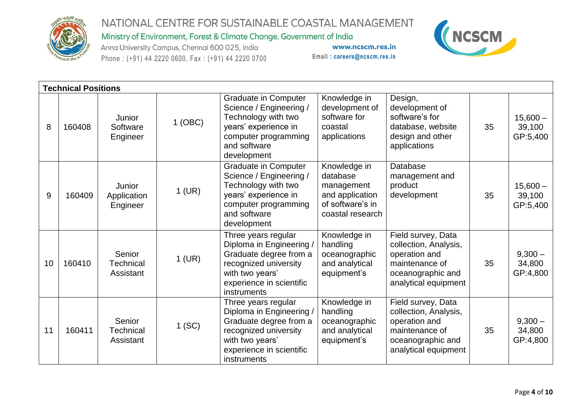

Ministry of Environment, Forest & Climate Change. Government of India

Anna University Campus, Chennai 600 025, India Phone: (+91) 44 2220 0600, Fax: (+91) 44 2220 0700



|    | <b>Technical Positions</b> |                                         |           |                                                                                                                                                                  |                                                                                                   |                                                                                                                             |    |                                  |  |
|----|----------------------------|-----------------------------------------|-----------|------------------------------------------------------------------------------------------------------------------------------------------------------------------|---------------------------------------------------------------------------------------------------|-----------------------------------------------------------------------------------------------------------------------------|----|----------------------------------|--|
| 8  | 160408                     | Junior<br>Software<br>Engineer          | $1$ (OBC) | <b>Graduate in Computer</b><br>Science / Engineering /<br>Technology with two<br>years' experience in<br>computer programming<br>and software<br>development     | Knowledge in<br>development of<br>software for<br>coastal<br>applications                         | Design,<br>development of<br>software's for<br>database, website<br>design and other<br>applications                        | 35 | $15,600 -$<br>39,100<br>GP:5,400 |  |
| 9  | 160409                     | Junior<br>Application<br>Engineer       | $1$ (UR)  | <b>Graduate in Computer</b><br>Science / Engineering /<br>Technology with two<br>years' experience in<br>computer programming<br>and software<br>development     | Knowledge in<br>database<br>management<br>and application<br>of software's in<br>coastal research | Database<br>management and<br>product<br>development                                                                        | 35 | $15,600 -$<br>39,100<br>GP:5,400 |  |
| 10 | 160410                     | Senior<br>Technical<br>Assistant        | $1$ (UR)  | Three years regular<br>Diploma in Engineering /<br>Graduate degree from a<br>recognized university<br>with two years'<br>experience in scientific<br>instruments | Knowledge in<br>handling<br>oceanographic<br>and analytical<br>equipment's                        | Field survey, Data<br>collection, Analysis,<br>operation and<br>maintenance of<br>oceanographic and<br>analytical equipment | 35 | $9,300 -$<br>34,800<br>GP:4,800  |  |
| 11 | 160411                     | Senior<br><b>Technical</b><br>Assistant | $1$ (SC)  | Three years regular<br>Diploma in Engineering /<br>Graduate degree from a<br>recognized university<br>with two years'<br>experience in scientific<br>instruments | Knowledge in<br>handling<br>oceanographic<br>and analytical<br>equipment's                        | Field survey, Data<br>collection, Analysis,<br>operation and<br>maintenance of<br>oceanographic and<br>analytical equipment | 35 | $9,300 -$<br>34,800<br>GP:4,800  |  |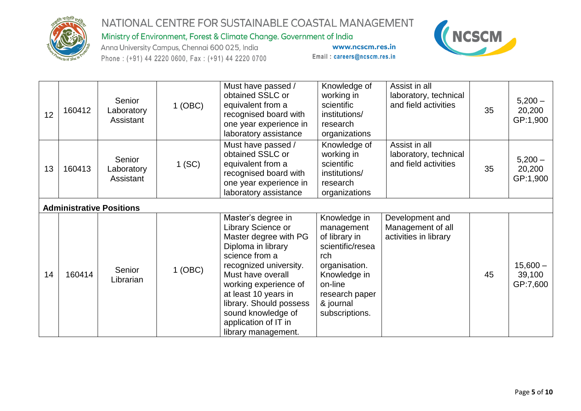

Ministry of Environment, Forest & Climate Change. Government of India

Anna University Campus, Chennai 600 025, India Phone: (+91) 44 2220 0600, Fax: (+91) 44 2220 0700



| 12 | 160412 | Senior<br>Laboratory<br>Assistant | $1$ (OBC) | Must have passed /<br>obtained SSLC or<br>equivalent from a<br>recognised board with<br>one year experience in<br>laboratory assistance                                                                                                                                                                   | Knowledge of<br>working in<br>scientific<br>institutions/<br>research<br>organizations                                                                              | Assist in all<br>laboratory, technical<br>and field activities | 35 | $5,200 -$<br>20,200<br>GP:1,900  |
|----|--------|-----------------------------------|-----------|-----------------------------------------------------------------------------------------------------------------------------------------------------------------------------------------------------------------------------------------------------------------------------------------------------------|---------------------------------------------------------------------------------------------------------------------------------------------------------------------|----------------------------------------------------------------|----|----------------------------------|
| 13 | 160413 | Senior<br>Laboratory<br>Assistant | $1$ (SC)  | Must have passed /<br>obtained SSLC or<br>equivalent from a<br>recognised board with<br>one year experience in<br>laboratory assistance                                                                                                                                                                   | Knowledge of<br>working in<br>scientific<br>institutions/<br>research<br>organizations                                                                              | Assist in all<br>laboratory, technical<br>and field activities | 35 | $5,200 -$<br>20,200<br>GP:1,900  |
|    |        | <b>Administrative Positions</b>   |           |                                                                                                                                                                                                                                                                                                           |                                                                                                                                                                     |                                                                |    |                                  |
| 14 | 160414 | Senior<br>Librarian               | $1$ (OBC) | Master's degree in<br>Library Science or<br>Master degree with PG<br>Diploma in library<br>science from a<br>recognized university.<br>Must have overall<br>working experience of<br>at least 10 years in<br>library. Should possess<br>sound knowledge of<br>application of IT in<br>library management. | Knowledge in<br>management<br>of library in<br>scientific/resea<br>rch<br>organisation.<br>Knowledge in<br>on-line<br>research paper<br>& journal<br>subscriptions. | Development and<br>Management of all<br>activities in library  | 45 | $15,600 -$<br>39,100<br>GP:7,600 |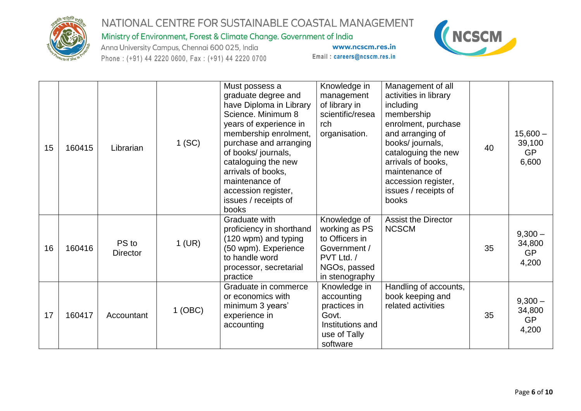

Ministry of Environment, Forest & Climate Change. Government of India

Anna University Campus, Chennai 600 025, India Phone: (+91) 44 2220 0600, Fax: (+91) 44 2220 0700



| 15 | 160415 | Librarian                | $1$ (SC)  | Must possess a<br>graduate degree and<br>have Diploma in Library<br>Science. Minimum 8<br>years of experience in<br>membership enrolment,<br>purchase and arranging<br>of books/ journals,<br>cataloguing the new<br>arrivals of books,<br>maintenance of<br>accession register,<br>issues / receipts of<br>books | Knowledge in<br>management<br>of library in<br>scientific/resea<br>rch<br>organisation.                         | Management of all<br>activities in library<br>including<br>membership<br>enrolment, purchase<br>and arranging of<br>books/journals,<br>cataloguing the new<br>arrivals of books,<br>maintenance of<br>accession register,<br>issues / receipts of<br>books | 40 | $15,600 -$<br>39,100<br><b>GP</b><br>6,600 |
|----|--------|--------------------------|-----------|-------------------------------------------------------------------------------------------------------------------------------------------------------------------------------------------------------------------------------------------------------------------------------------------------------------------|-----------------------------------------------------------------------------------------------------------------|------------------------------------------------------------------------------------------------------------------------------------------------------------------------------------------------------------------------------------------------------------|----|--------------------------------------------|
| 16 | 160416 | PS to<br><b>Director</b> | $1$ (UR)  | Graduate with<br>proficiency in shorthand<br>(120 wpm) and typing<br>(50 wpm). Experience<br>to handle word<br>processor, secretarial<br>practice                                                                                                                                                                 | Knowledge of<br>working as PS<br>to Officers in<br>Government /<br>PVT Ltd. /<br>NGOs, passed<br>in stenography | <b>Assist the Director</b><br><b>NCSCM</b>                                                                                                                                                                                                                 | 35 | $9,300 -$<br>34,800<br><b>GP</b><br>4,200  |
| 17 | 160417 | Accountant               | $1$ (OBC) | Graduate in commerce<br>or economics with<br>minimum 3 years'<br>experience in<br>accounting                                                                                                                                                                                                                      | Knowledge in<br>accounting<br>practices in<br>Govt.<br>Institutions and<br>use of Tally<br>software             | Handling of accounts,<br>book keeping and<br>related activities                                                                                                                                                                                            | 35 | $9,300 -$<br>34,800<br><b>GP</b><br>4,200  |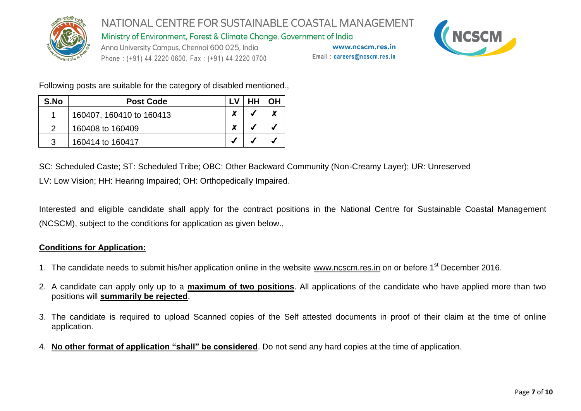

Ministry of Environment, Forest & Climate Change. Government of India

Anna University Campus, Chennai 600 025, India Phone: (+91) 44 2220 0600, Fax: (+91) 44 2220 0700

www.ncscm.res.in Email: careers@ncscm.res.in



Following posts are suitable for the category of disabled mentioned.,

| S.No | <b>Post Code</b>         |                          | <b>HH</b> |  |
|------|--------------------------|--------------------------|-----------|--|
|      | 160407, 160410 to 160413 | $\overline{\phantom{a}}$ |           |  |
|      | 160408 to 160409         |                          |           |  |
| 3    | 160414 to 160417         |                          |           |  |

SC: Scheduled Caste; ST: Scheduled Tribe; OBC: Other Backward Community (Non-Creamy Layer); UR: Unreserved

LV: Low Vision; HH: Hearing Impaired; OH: Orthopedically Impaired.

Interested and eligible candidate shall apply for the contract positions in the National Centre for Sustainable Coastal Management (NCSCM), subject to the conditions for application as given below.,

#### **Conditions for Application:**

- 1. The candidate needs to submit his/her application online in the website [www.ncscm.res.in](http://www.ncscm.res.in/) on or before 1<sup>st</sup> December 2016.
- 2. A candidate can apply only up to a **maximum of two positions**. All applications of the candidate who have applied more than two positions will **summarily be rejected**.
- 3. The candidate is required to upload Scanned copies of the Self attested documents in proof of their claim at the time of online application.
- 4. **No other format of application "shall" be considered**. Do not send any hard copies at the time of application.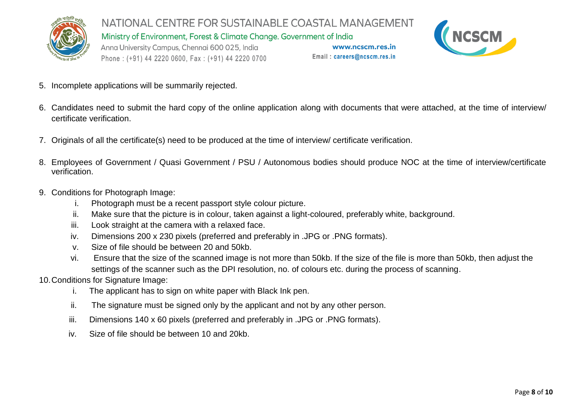

Ministry of Environment, Forest & Climate Change. Government of India

Anna University Campus, Chennai 600 025, India Phone: (+91) 44 2220 0600, Fax: (+91) 44 2220 0700



- 5. Incomplete applications will be summarily rejected.
- 6. Candidates need to submit the hard copy of the online application along with documents that were attached, at the time of interview/ certificate verification.
- 7. Originals of all the certificate(s) need to be produced at the time of interview/ certificate verification.
- 8. Employees of Government / Quasi Government / PSU / Autonomous bodies should produce NOC at the time of interview/certificate verification.
- 9. Conditions for Photograph Image:
	- i. Photograph must be a recent passport style colour picture.
	- ii. Make sure that the picture is in colour, taken against a light-coloured, preferably white, background.
	- iii. Look straight at the camera with a relaxed face.
	- iv. Dimensions 200 x 230 pixels (preferred and preferably in .JPG or .PNG formats).
	- v. Size of file should be between 20 and 50kb.
	- vi. Ensure that the size of the scanned image is not more than 50kb. If the size of the file is more than 50kb, then adjust the settings of the scanner such as the DPI resolution, no. of colours etc. during the process of scanning.
- 10.Conditions for Signature Image:
	- i. The applicant has to sign on white paper with Black Ink pen.
	- ii. The signature must be signed only by the applicant and not by any other person.
	- iii. Dimensions 140 x 60 pixels (preferred and preferably in .JPG or .PNG formats).
	- iv. Size of file should be between 10 and 20kb.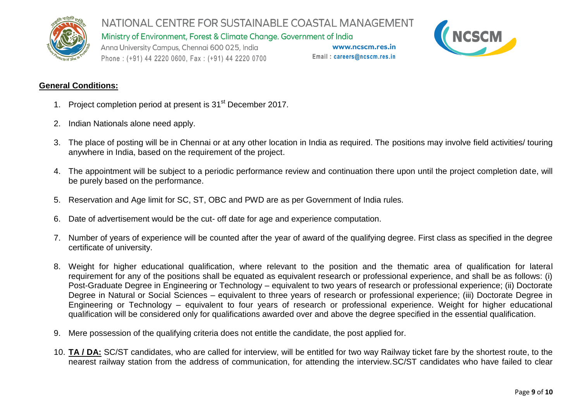

Ministry of Environment, Forest & Climate Change. Government of India

Anna University Campus, Chennai 600 025, India Phone: (+91) 44 2220 0600, Fax: (+91) 44 2220 0700

www.ncscm.res.in Email: careers@ncscm.res.in



#### **General Conditions:**

- 1. Project completion period at present is 31<sup>st</sup> December 2017.
- 2. Indian Nationals alone need apply.
- 3. The place of posting will be in Chennai or at any other location in India as required. The positions may involve field activities/ touring anywhere in India, based on the requirement of the project.
- 4. The appointment will be subject to a periodic performance review and continuation there upon until the project completion date, will be purely based on the performance.
- 5. Reservation and Age limit for SC, ST, OBC and PWD are as per Government of India rules.
- 6. Date of advertisement would be the cut- off date for age and experience computation.
- 7. Number of years of experience will be counted after the year of award of the qualifying degree. First class as specified in the degree certificate of university.
- 8. Weight for higher educational qualification, where relevant to the position and the thematic area of qualification for lateral requirement for any of the positions shall be equated as equivalent research or professional experience, and shall be as follows: (i) Post-Graduate Degree in Engineering or Technology – equivalent to two years of research or professional experience; (ii) Doctorate Degree in Natural or Social Sciences – equivalent to three years of research or professional experience; (iii) Doctorate Degree in Engineering or Technology – equivalent to four years of research or professional experience. Weight for higher educational qualification will be considered only for qualifications awarded over and above the degree specified in the essential qualification.
- 9. Mere possession of the qualifying criteria does not entitle the candidate, the post applied for.
- 10. **TA / DA:** SC/ST candidates, who are called for interview, will be entitled for two way Railway ticket fare by the shortest route, to the nearest railway station from the address of communication, for attending the interview.SC/ST candidates who have failed to clear